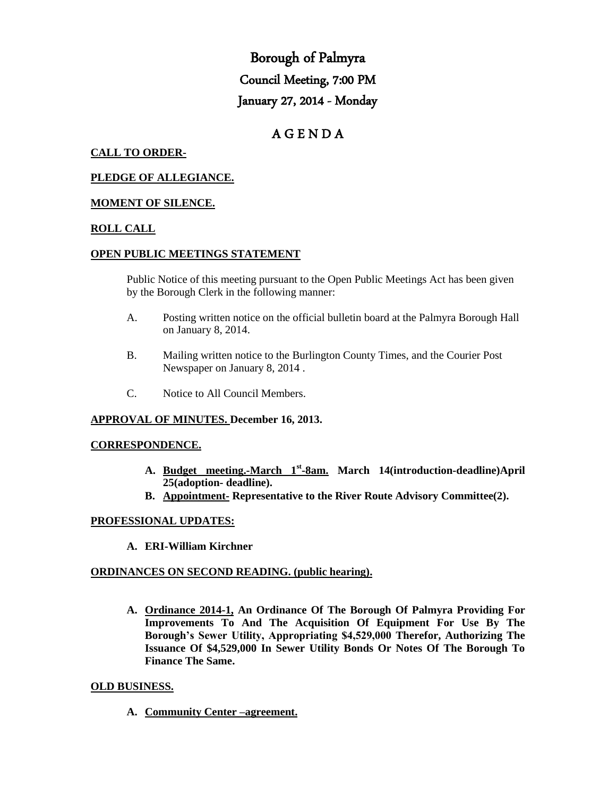# Borough of Palmyra Council Meeting, 7:00 PM January 27, 2014 - Monday

# A G E N D A

# **CALL TO ORDER-**

#### **PLEDGE OF ALLEGIANCE.**

#### **MOMENT OF SILENCE.**

#### **ROLL CALL**

#### **OPEN PUBLIC MEETINGS STATEMENT**

Public Notice of this meeting pursuant to the Open Public Meetings Act has been given by the Borough Clerk in the following manner:

- A. Posting written notice on the official bulletin board at the Palmyra Borough Hall on January 8, 2014.
- B. Mailing written notice to the Burlington County Times, and the Courier Post Newspaper on January 8, 2014 .
- C. Notice to All Council Members.

#### **APPROVAL OF MINUTES. December 16, 2013.**

#### **CORRESPONDENCE.**

- **A. Budget meeting.-March 1st -8am. March 14(introduction-deadline)April 25(adoption- deadline).**
- **B. Appointment- Representative to the River Route Advisory Committee(2).**

#### **PROFESSIONAL UPDATES:**

**A. ERI-William Kirchner**

#### **ORDINANCES ON SECOND READING. (public hearing).**

**A. Ordinance 2014-1, An Ordinance Of The Borough Of Palmyra Providing For Improvements To And The Acquisition Of Equipment For Use By The Borough's Sewer Utility, Appropriating \$4,529,000 Therefor, Authorizing The Issuance Of \$4,529,000 In Sewer Utility Bonds Or Notes Of The Borough To Finance The Same.**

#### **OLD BUSINESS.**

**A. Community Center –agreement.**